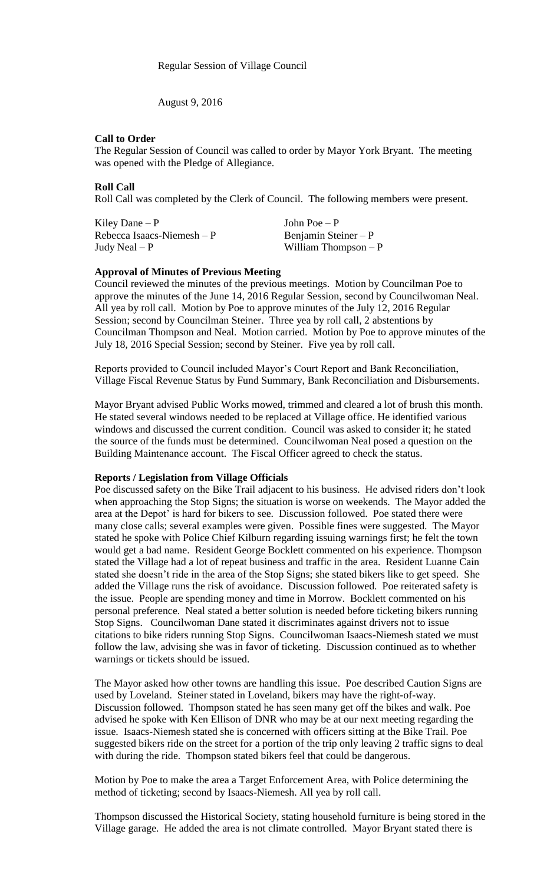August 9, 2016

### **Call to Order**

The Regular Session of Council was called to order by Mayor York Bryant. The meeting was opened with the Pledge of Allegiance.

### **Roll Call**

Roll Call was completed by the Clerk of Council. The following members were present.

| Kiley Dane $-P$             | John Poe $-P$         |
|-----------------------------|-----------------------|
| Rebecca Isaacs-Niemesh $-P$ | Benjamin Steiner $-P$ |
| Judy Neal $-P$              | William Thompson $-P$ |

#### **Approval of Minutes of Previous Meeting**

Council reviewed the minutes of the previous meetings. Motion by Councilman Poe to approve the minutes of the June 14, 2016 Regular Session, second by Councilwoman Neal. All yea by roll call. Motion by Poe to approve minutes of the July 12, 2016 Regular Session; second by Councilman Steiner. Three yea by roll call, 2 abstentions by Councilman Thompson and Neal. Motion carried. Motion by Poe to approve minutes of the July 18, 2016 Special Session; second by Steiner. Five yea by roll call.

Reports provided to Council included Mayor's Court Report and Bank Reconciliation, Village Fiscal Revenue Status by Fund Summary, Bank Reconciliation and Disbursements.

Mayor Bryant advised Public Works mowed, trimmed and cleared a lot of brush this month. He stated several windows needed to be replaced at Village office. He identified various windows and discussed the current condition. Council was asked to consider it; he stated the source of the funds must be determined. Councilwoman Neal posed a question on the Building Maintenance account. The Fiscal Officer agreed to check the status.

#### **Reports / Legislation from Village Officials**

Poe discussed safety on the Bike Trail adjacent to his business. He advised riders don't look when approaching the Stop Signs; the situation is worse on weekends. The Mayor added the area at the Depot' is hard for bikers to see. Discussion followed. Poe stated there were many close calls; several examples were given. Possible fines were suggested. The Mayor stated he spoke with Police Chief Kilburn regarding issuing warnings first; he felt the town would get a bad name. Resident George Bocklett commented on his experience. Thompson stated the Village had a lot of repeat business and traffic in the area. Resident Luanne Cain stated she doesn't ride in the area of the Stop Signs; she stated bikers like to get speed. She added the Village runs the risk of avoidance. Discussion followed. Poe reiterated safety is the issue. People are spending money and time in Morrow. Bocklett commented on his personal preference. Neal stated a better solution is needed before ticketing bikers running Stop Signs. Councilwoman Dane stated it discriminates against drivers not to issue citations to bike riders running Stop Signs. Councilwoman Isaacs-Niemesh stated we must follow the law, advising she was in favor of ticketing. Discussion continued as to whether warnings or tickets should be issued.

The Mayor asked how other towns are handling this issue. Poe described Caution Signs are used by Loveland. Steiner stated in Loveland, bikers may have the right-of-way. Discussion followed. Thompson stated he has seen many get off the bikes and walk. Poe advised he spoke with Ken Ellison of DNR who may be at our next meeting regarding the issue. Isaacs-Niemesh stated she is concerned with officers sitting at the Bike Trail. Poe suggested bikers ride on the street for a portion of the trip only leaving 2 traffic signs to deal with during the ride. Thompson stated bikers feel that could be dangerous.

Motion by Poe to make the area a Target Enforcement Area, with Police determining the method of ticketing; second by Isaacs-Niemesh. All yea by roll call.

Thompson discussed the Historical Society, stating household furniture is being stored in the Village garage. He added the area is not climate controlled. Mayor Bryant stated there is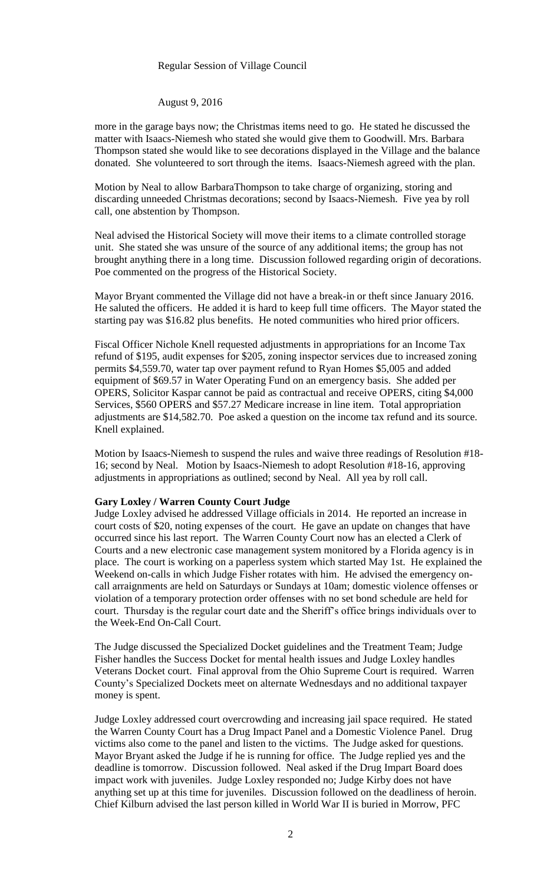#### Regular Session of Village Council

August 9, 2016

more in the garage bays now; the Christmas items need to go. He stated he discussed the matter with Isaacs-Niemesh who stated she would give them to Goodwill. Mrs. Barbara Thompson stated she would like to see decorations displayed in the Village and the balance donated. She volunteered to sort through the items. Isaacs-Niemesh agreed with the plan.

Motion by Neal to allow BarbaraThompson to take charge of organizing, storing and discarding unneeded Christmas decorations; second by Isaacs-Niemesh. Five yea by roll call, one abstention by Thompson.

Neal advised the Historical Society will move their items to a climate controlled storage unit. She stated she was unsure of the source of any additional items; the group has not brought anything there in a long time. Discussion followed regarding origin of decorations. Poe commented on the progress of the Historical Society.

Mayor Bryant commented the Village did not have a break-in or theft since January 2016. He saluted the officers. He added it is hard to keep full time officers. The Mayor stated the starting pay was \$16.82 plus benefits. He noted communities who hired prior officers.

Fiscal Officer Nichole Knell requested adjustments in appropriations for an Income Tax refund of \$195, audit expenses for \$205, zoning inspector services due to increased zoning permits \$4,559.70, water tap over payment refund to Ryan Homes \$5,005 and added equipment of \$69.57 in Water Operating Fund on an emergency basis. She added per OPERS, Solicitor Kaspar cannot be paid as contractual and receive OPERS, citing \$4,000 Services, \$560 OPERS and \$57.27 Medicare increase in line item. Total appropriation adjustments are \$14,582.70. Poe asked a question on the income tax refund and its source. Knell explained.

Motion by Isaacs-Niemesh to suspend the rules and waive three readings of Resolution #18- 16; second by Neal. Motion by Isaacs-Niemesh to adopt Resolution #18-16, approving adjustments in appropriations as outlined; second by Neal. All yea by roll call.

### **Gary Loxley / Warren County Court Judge**

Judge Loxley advised he addressed Village officials in 2014. He reported an increase in court costs of \$20, noting expenses of the court. He gave an update on changes that have occurred since his last report. The Warren County Court now has an elected a Clerk of Courts and a new electronic case management system monitored by a Florida agency is in place. The court is working on a paperless system which started May 1st. He explained the Weekend on-calls in which Judge Fisher rotates with him. He advised the emergency oncall arraignments are held on Saturdays or Sundays at 10am; domestic violence offenses or violation of a temporary protection order offenses with no set bond schedule are held for court. Thursday is the regular court date and the Sheriff's office brings individuals over to the Week-End On-Call Court.

The Judge discussed the Specialized Docket guidelines and the Treatment Team; Judge Fisher handles the Success Docket for mental health issues and Judge Loxley handles Veterans Docket court. Final approval from the Ohio Supreme Court is required. Warren County's Specialized Dockets meet on alternate Wednesdays and no additional taxpayer money is spent.

Judge Loxley addressed court overcrowding and increasing jail space required. He stated the Warren County Court has a Drug Impact Panel and a Domestic Violence Panel. Drug victims also come to the panel and listen to the victims. The Judge asked for questions. Mayor Bryant asked the Judge if he is running for office. The Judge replied yes and the deadline is tomorrow. Discussion followed. Neal asked if the Drug Impart Board does impact work with juveniles. Judge Loxley responded no; Judge Kirby does not have anything set up at this time for juveniles. Discussion followed on the deadliness of heroin. Chief Kilburn advised the last person killed in World War II is buried in Morrow, PFC